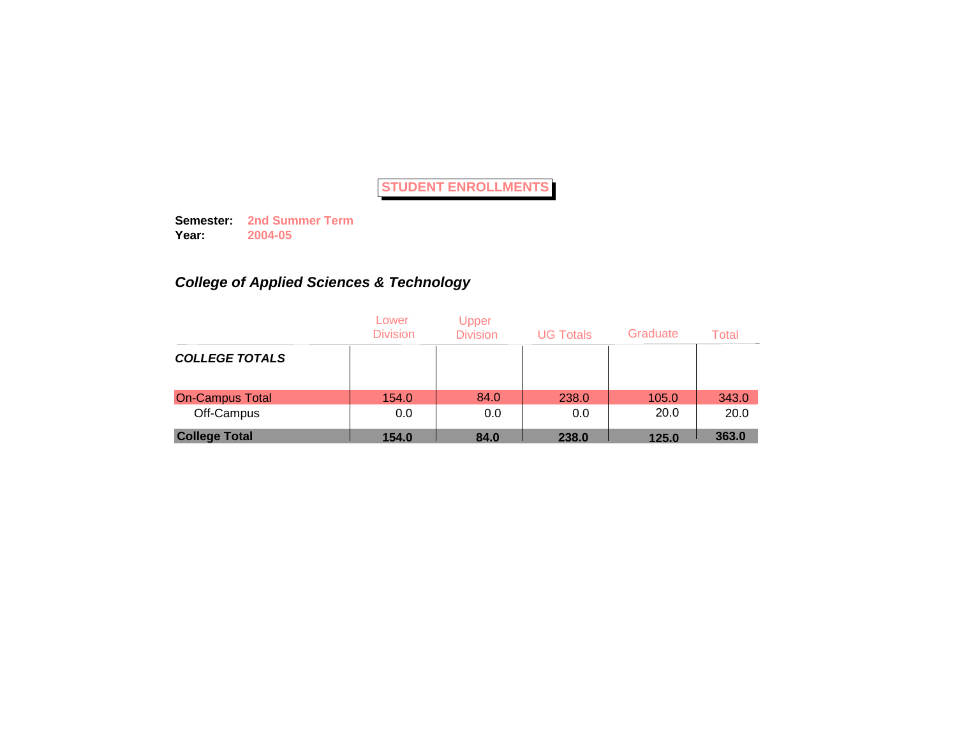**Semester: 2nd Summer Term Year: 2004-05**

# *College of Applied Sciences & Technology*

|                        | Lower<br><b>Division</b> | Upper<br><b>Division</b> | <b>UG Totals</b> | Graduate | Total |
|------------------------|--------------------------|--------------------------|------------------|----------|-------|
| <b>COLLEGE TOTALS</b>  |                          |                          |                  |          |       |
| <b>On-Campus Total</b> | 154.0                    | 84.0                     | 238.0            | 105.0    | 343.0 |
| Off-Campus             | 0.0                      | 0.0                      | 0.0              | 20.0     | 20.0  |
| <b>College Total</b>   | 154.0                    | 84.0                     | 238.0            | 125.0    | 363.0 |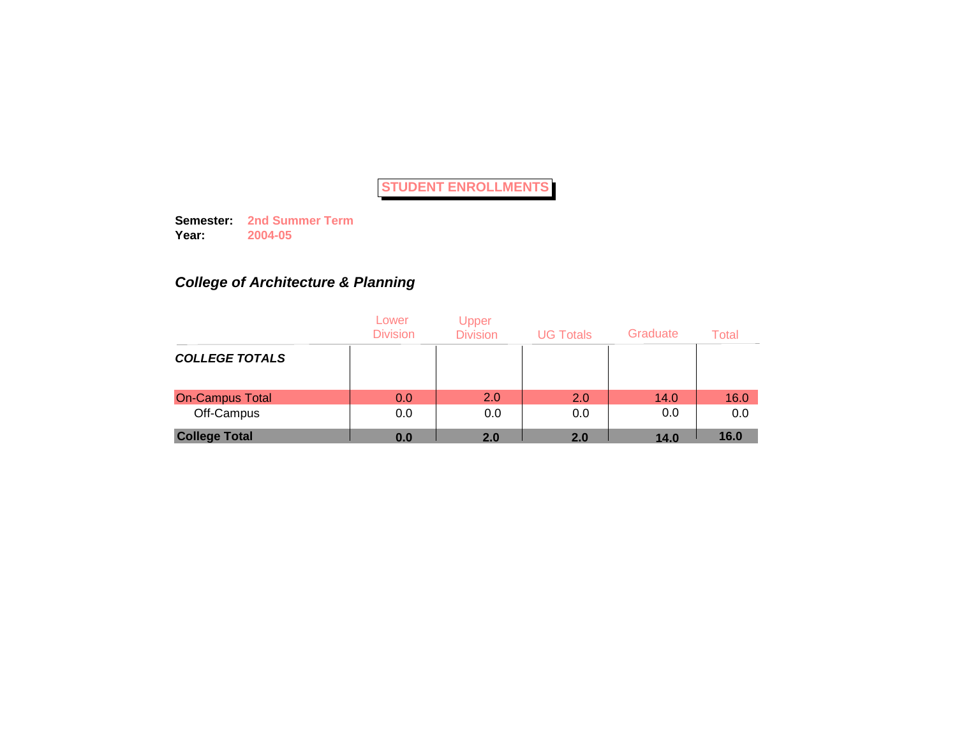**Semester: 2nd Summer Term Year: 2004-05**

# *College of Architecture & Planning*

|                        | Lower<br><b>Division</b> | Upper<br><b>Division</b> | <b>UG Totals</b> | Graduate | Total |
|------------------------|--------------------------|--------------------------|------------------|----------|-------|
| <b>COLLEGE TOTALS</b>  |                          |                          |                  |          |       |
| <b>On-Campus Total</b> | 0.0                      | 2.0                      | 2.0              | 14.0     | 16.0  |
| Off-Campus             | 0.0                      | 0.0                      | 0.0              | 0.0      | 0.0   |
| <b>College Total</b>   | 0.0                      | 2.0                      | 2.0              | 14.0     | 16.0  |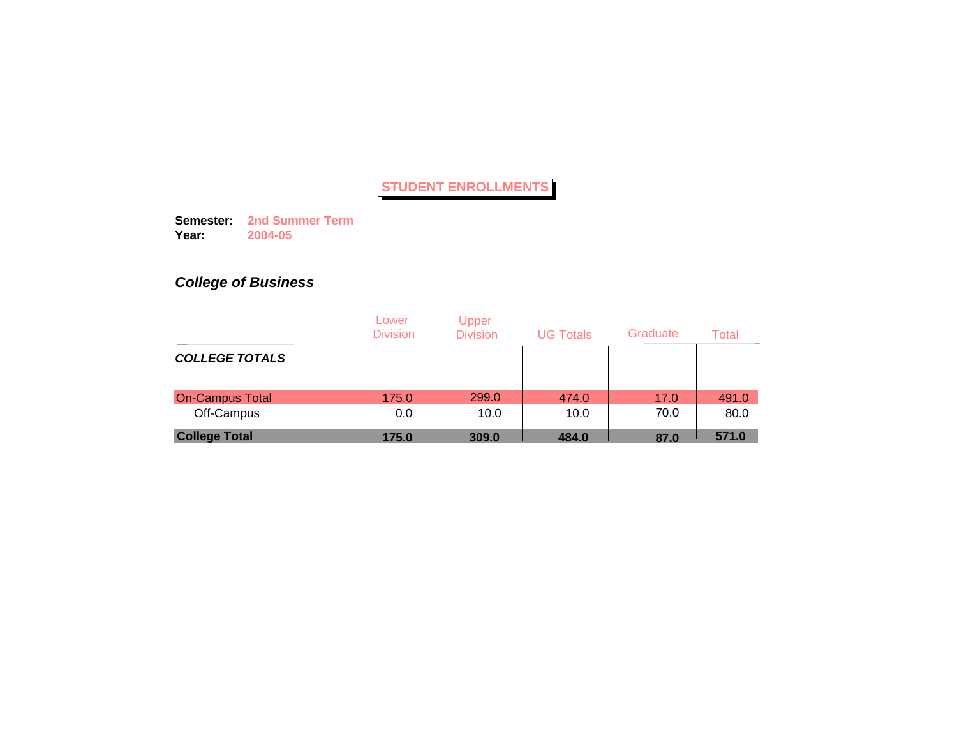**Semester: 2nd Summer Term Year: 2004-05**

# *College of Business*

|                        | Lower<br><b>Division</b> | Upper<br><b>Division</b> | <b>UG Totals</b> | Graduate | Total |
|------------------------|--------------------------|--------------------------|------------------|----------|-------|
| <b>COLLEGE TOTALS</b>  |                          |                          |                  |          |       |
| <b>On-Campus Total</b> | 175.0                    | 299.0                    | 474.0            | 17.0     | 491.0 |
| Off-Campus             | 0.0                      | 10.0                     | 10.0             | 70.0     | 80.0  |
| <b>College Total</b>   | 175.0                    | 309.0                    | 484.0            | 87.0     | 571.0 |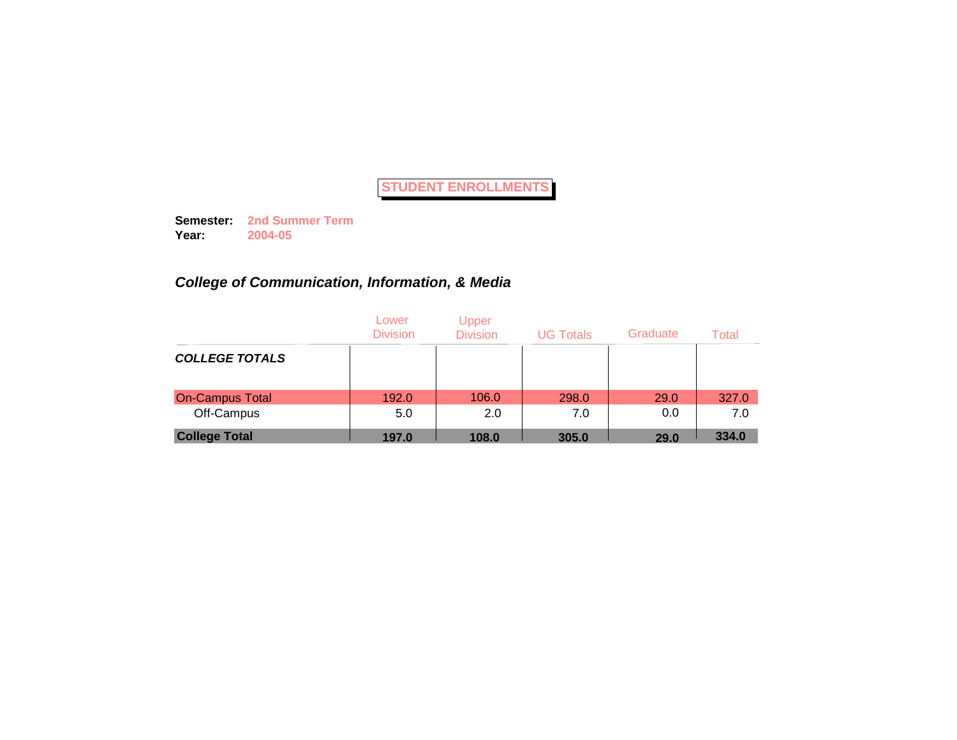**Semester: 2nd Summer Term Year: 2004-05**

# *College of Communication, Information, & Media*

|                        | Lower<br><b>Division</b> | <b>Upper</b><br><b>Division</b> | <b>UG Totals</b> | Graduate | Total |
|------------------------|--------------------------|---------------------------------|------------------|----------|-------|
| <b>COLLEGE TOTALS</b>  |                          |                                 |                  |          |       |
| <b>On-Campus Total</b> | 192.0                    | 106.0                           | 298.0            | 29.0     | 327.0 |
| Off-Campus             | 5.0                      | 2.0                             | 7.0              | 0.0      | 7.0   |
| <b>College Total</b>   | 197.0                    | 108.0                           | 305.0            | 29.0     | 334.0 |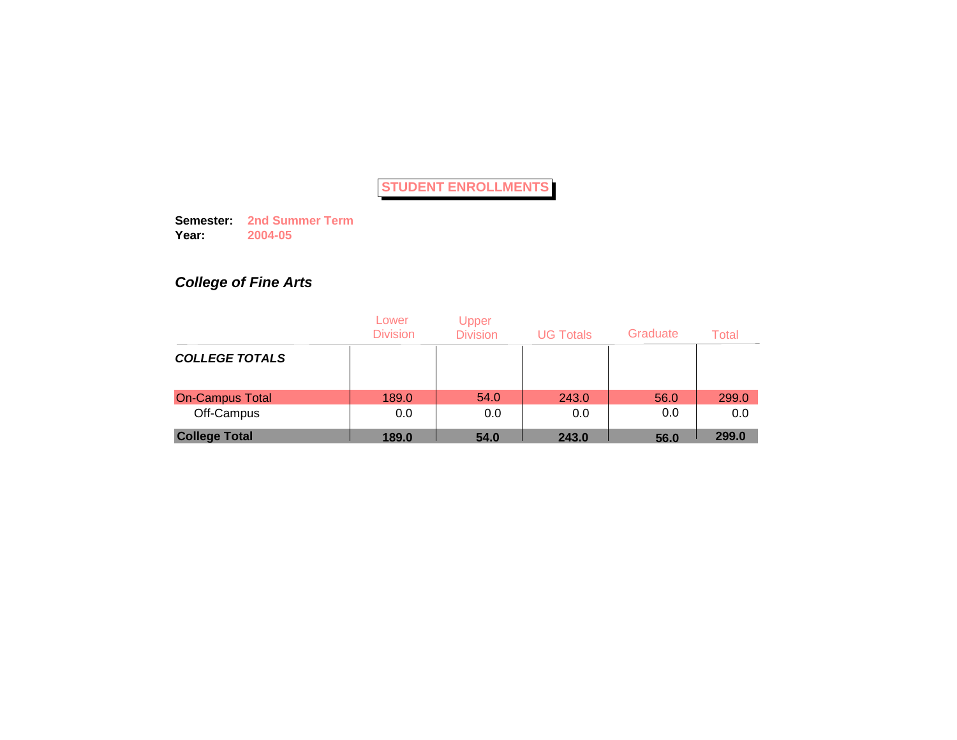**Semester: 2nd Summer Term Year: 2004-05**

# *College of Fine Arts*

|                        | Lower<br><b>Division</b> | Upper<br><b>Division</b> | <b>UG Totals</b> | Graduate | Total |
|------------------------|--------------------------|--------------------------|------------------|----------|-------|
| <b>COLLEGE TOTALS</b>  |                          |                          |                  |          |       |
| <b>On-Campus Total</b> | 189.0                    | 54.0                     | 243.0            | 56.0     | 299.0 |
| Off-Campus             | 0.0                      | 0.0                      | 0.0              | 0.0      | 0.0   |
| <b>College Total</b>   | 189.0                    | 54.0                     | 243.0            | 56.0     | 299.0 |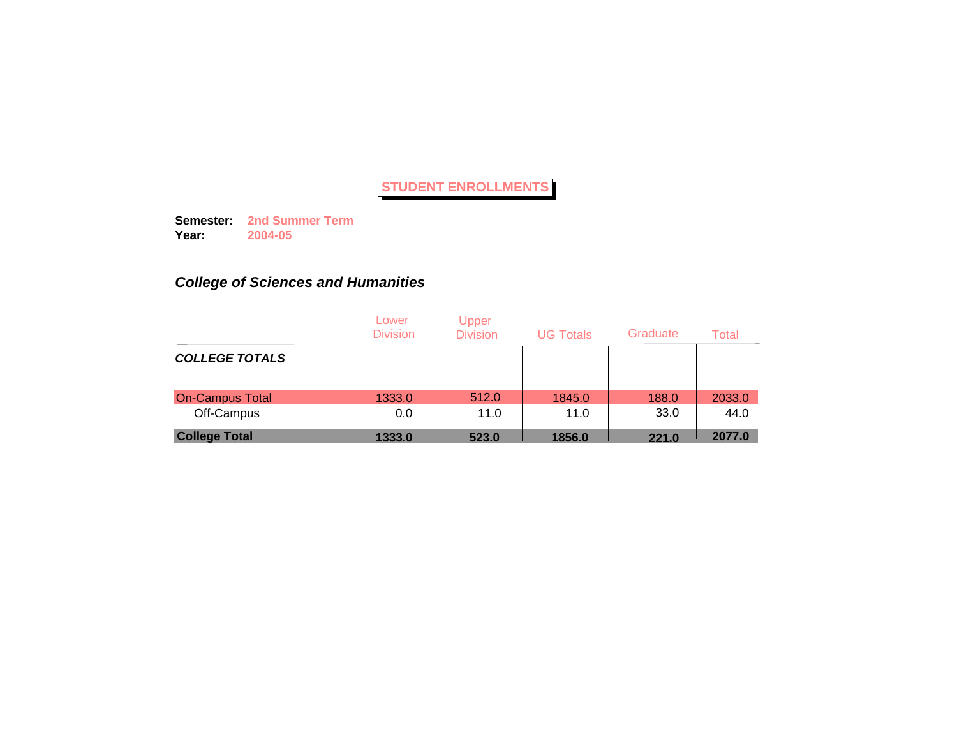**Semester: 2nd Summer Term Year: 2004-05**

# *College of Sciences and Humanities*

|                        | Lower<br><b>Division</b> | Upper<br><b>Division</b> | <b>UG Totals</b> | Graduate | Total  |
|------------------------|--------------------------|--------------------------|------------------|----------|--------|
| <b>COLLEGE TOTALS</b>  |                          |                          |                  |          |        |
| <b>On-Campus Total</b> | 1333.0                   | 512.0                    | 1845.0           | 188.0    | 2033.0 |
| Off-Campus             | 0.0                      | 11.0                     | 11.0             | 33.0     | 44.0   |
| <b>College Total</b>   | 1333.0                   | 523.0                    | 1856.0           | 221.0    | 2077.0 |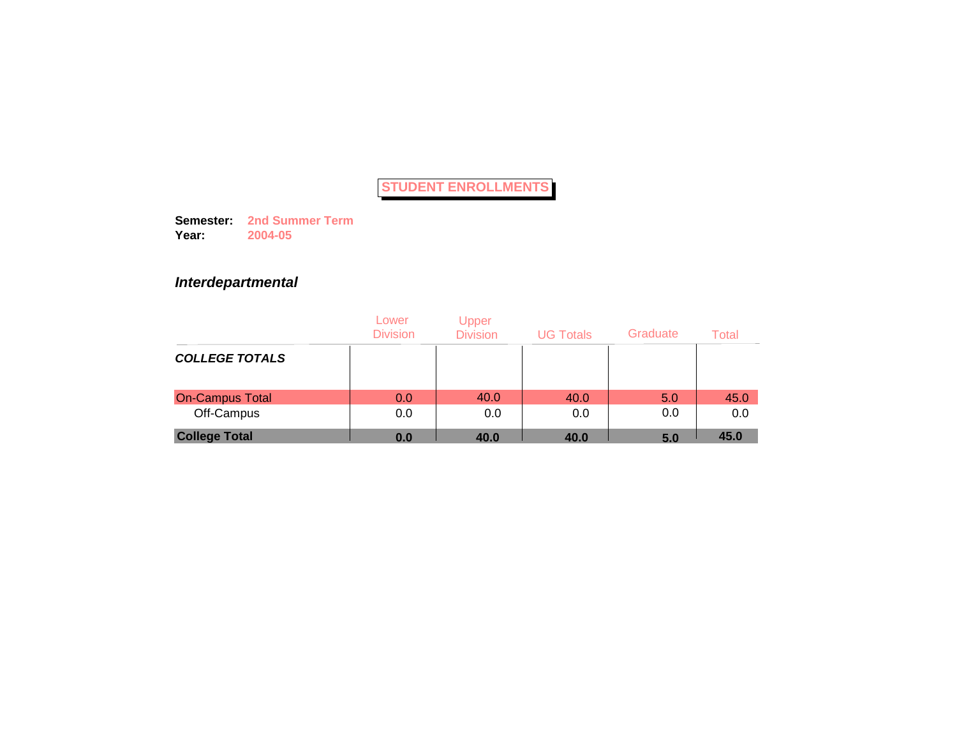**Semester: 2nd Summer Term Year: 2004-05**

## *Interdepartmental*

|                        | Lower<br><b>Division</b> | Upper<br><b>Division</b> | <b>UG Totals</b> | Graduate | Total |
|------------------------|--------------------------|--------------------------|------------------|----------|-------|
| <b>COLLEGE TOTALS</b>  |                          |                          |                  |          |       |
| <b>On-Campus Total</b> | 0.0                      | 40.0                     | 40.0             | 5.0      | 45.0  |
| Off-Campus             | 0.0                      | 0.0                      | 0.0              | 0.0      | 0.0   |
| <b>College Total</b>   | 0.0                      | 40.0                     | 40.0             | 5.0      | 45.0  |